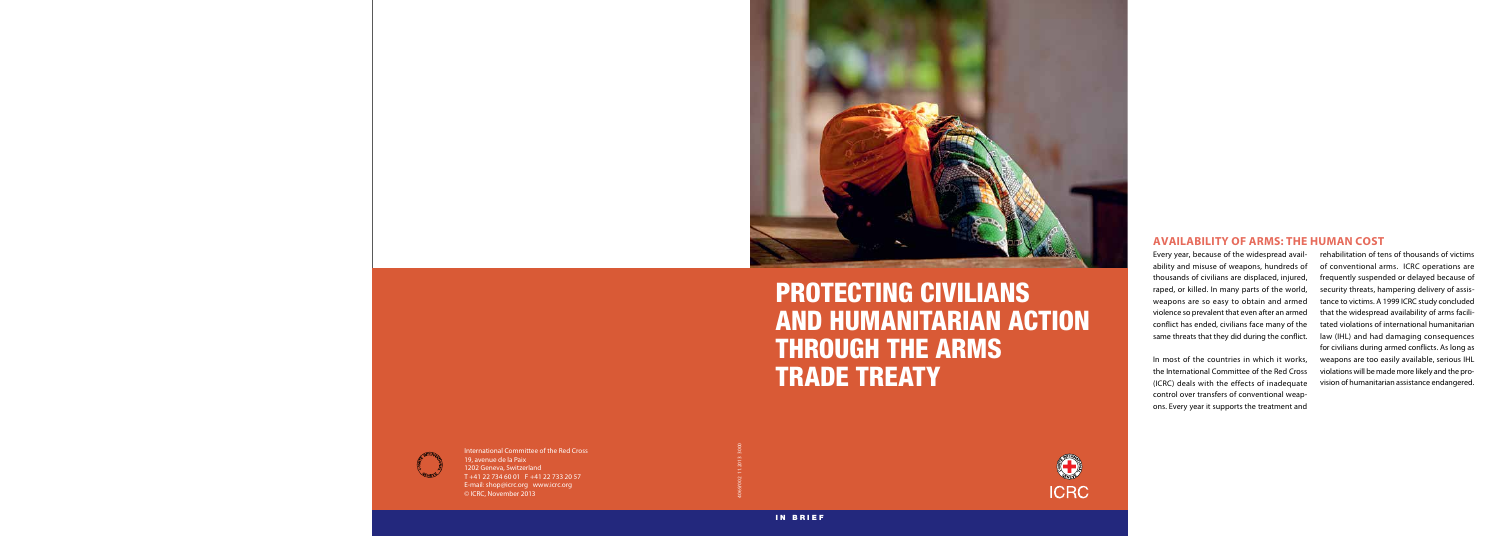

# PROTECTING CIVILIANS AND HUMANITARIAN ACTION THROUGH THE ARMS TRADE TREATY

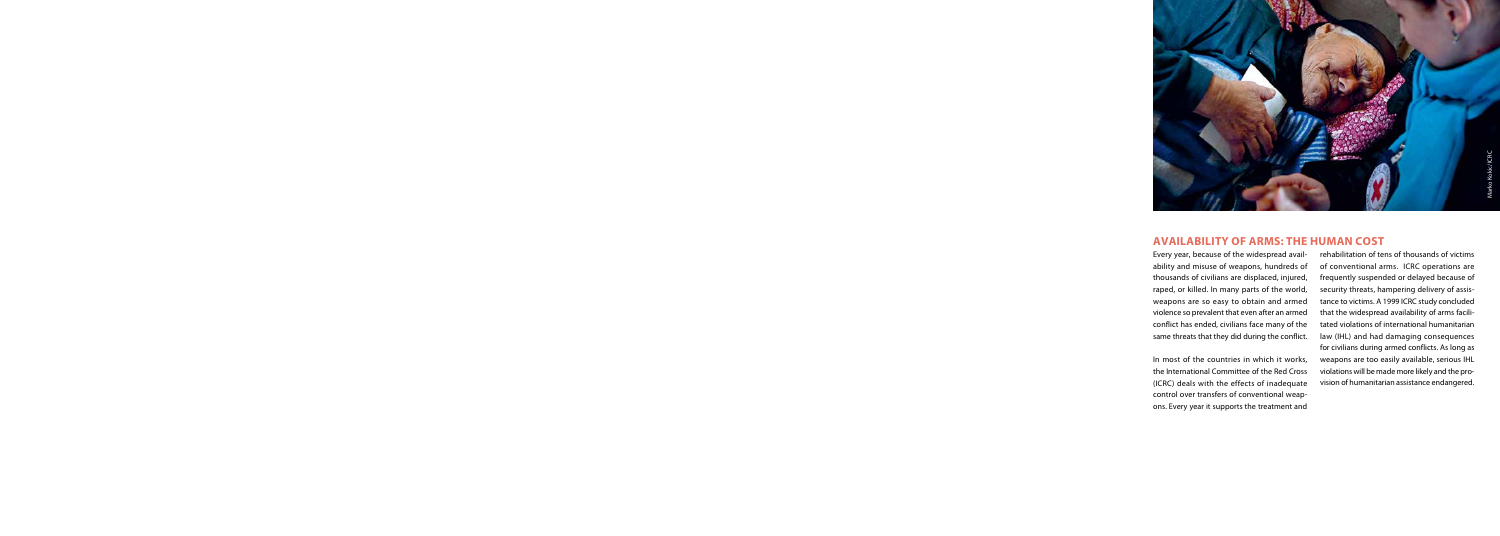

## **AVAILABILITY OF ARMS: THE HUMAN COST**

Every year, because of the widespread avail ability and misuse of weapons, hundreds of thousands of civilians are displaced, injured, raped, or killed. In many parts of the world, weapons are so easy to obtain and armed violence so prevalent that even after an armed conflict has ended, civilians face many of the same threats that they did during the conflict.

In most of the countries in which it works, the International Committee of the Red Cross (ICRC) deals with the effects of inadequate control over transfers of conventional weap ons. Every year it supports the treatment and rehabilitation of tens of thousands of victims of conventional arms. ICRC operations are frequently suspended or delayed because of security threats, hampering delivery of assis tance to victims. A 1999 ICRC study concluded that the widespread availability of arms facili tated violations of international humanitarian law (IHL) and had damaging consequences for civilians during armed conflicts. As long as weapons are too easily available, serious IHL violations will be made more likely and the pro vision of humanitarian assistance endangered.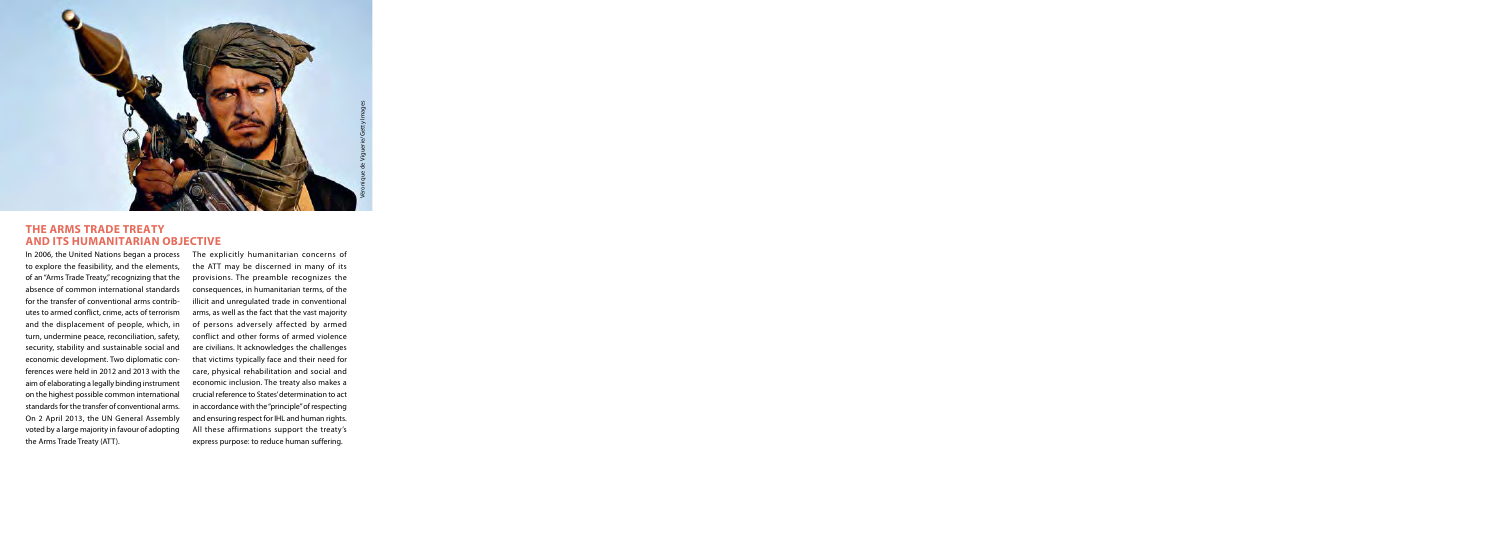

## **The Arms Trade Treaty and its humanitarian objective**

In 2006, the United Nations began a process to explore the feasibility, and the elements, of an "Arms Trade Treaty," recognizing that the absence of common international standards for the transfer of conventional arms contributes to armed conflict, crime, acts of terrorism and the displacement of people, which, in turn, undermine peace, reconciliation, safety, security, stability and sustainable social and economic development. Two diplomatic conferences were held in 2012 and 2013 with the aim of elaborating a legally binding instrument on the highest possible common international standards for the transfer of conventional arms. On 2 April 2013, the UN General Assembly voted by a large majority in favour of adopting the Arms Trade Treaty (ATT).

The explicitly humanitarian concerns of the ATT may be discerned in many of its provisions. The preamble recognizes the consequences, in humanitarian terms, of the illicit and unregulated trade in conventional arms, as well as the fact that the vast majority of persons adversely affected by armed conflict and other forms of armed violence are civilians. It acknowledges the challenges that victims typically face and their need for care, physical rehabilitation and social and economic inclusion. The treaty also makes a crucial reference to States' determination to act in accordance with the "principle" of respecting and ensuring respect for IHL and human rights. All these affirmations support the treaty's express purpose: to reduce human suffering.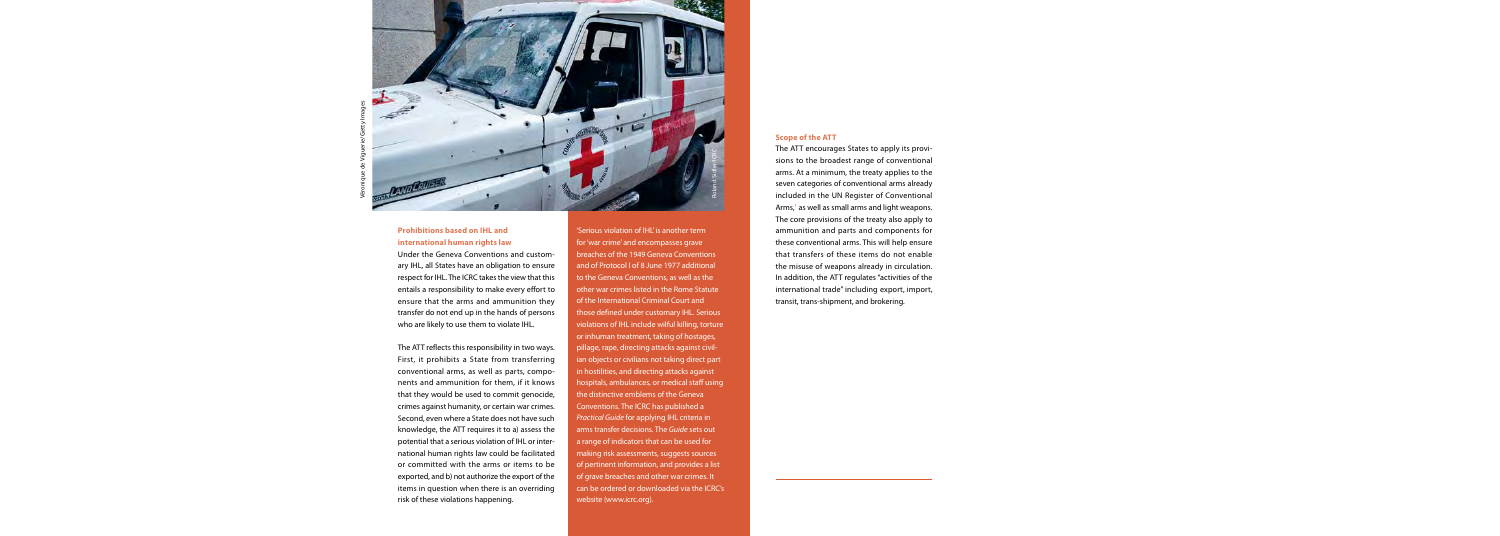

## **Prohibitions based on IHL and international human rights law**

Under the Geneva Conventions and customary IHL, all States have an obligation to ensure respect for IHL. The ICRC takes the view that this entails a responsibility to make every effort to ensure that the arms and ammunition they transfer do not end up in the hands of persons who are likely to use them to violate IHL.

The ATT reflects this responsibility in two ways. First, it prohibits a State from transferring conventional arms, as well as parts, components and ammunition for them, if it knows that they would be used to commit genocide, crimes against humanity, or certain war crimes. Second, even where a State does not have such knowledge, the ATT requires it to a) assess the potential that a serious violation of IHL or international human rights law could be facilitated or committed with the arms or items to be exported, and b) not authorize the export of the items in question when there is an overriding risk of these violations happening.

'Serious violation of IHL' is another term for 'war crime' and encompasses grave breaches of the 1949 Geneva Conventions and of Protocol I of 8 June 1977 additional to the Geneva Conventions, as well as the other war crimes listed in the Rome Statute of the International Criminal Court and those defined under customary IHL. Serious violations of IHL include wilful killing, torture or inhuman treatment, taking of hostages, pillage, rape, directing attacks against civilian objects or civilians not taking direct part in hostilities, and directing attacks against hospitals, ambulances, or medical staff using the distinctive emblems of the Geneva Conventions. The ICRC has published a *Practical Guide* for applying IHL criteria in arms transfer decisions. The *Guide* sets out a range of indicators that can be used for making risk assessments, suggests sources of pertinent information, and provides a list of grave breaches and other war crimes. It can be ordered or downloaded via the ICRC's website (www.icrc.org).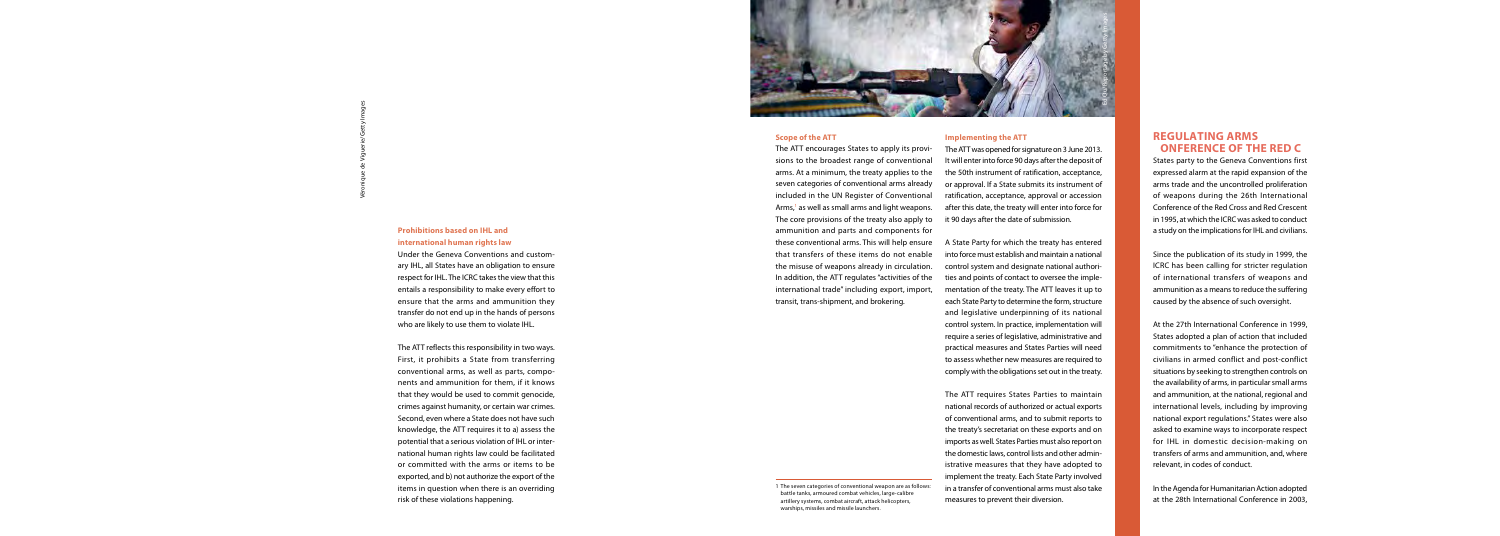

#### **Scope of the ATT**

The ATT encourages States to apply its provisions to the broadest range of conventional arms. At a minimum, the treaty applies to the seven categories of conventional arms already included in the UN Register of Conventional Arms,<sup>1</sup> as well as small arms and light weapons. The core provisions of the treaty also apply to ammunition and parts and components for these conventional arms. This will help ensure that transfers of these items do not enable the misuse of weapons already in circulation. In addition, the ATT regulates "activities of the international trade" including export, import, transit, trans-shipment, and brokering.

#### **Implementing the ATT**

The ATT was opened for signature on 3 June 2013. It will enter into force 90 days after the deposit of the 50th instrument of ratification, acceptance, or approval. If a State submits its instrument of ratification, acceptance, approval or accession after this date, the treaty will enter into force for it 90 days after the date of submission.

A State Party for which the treaty has entered into force must establish and maintain a national control system and designate national authorities and points of contact to oversee the implementation of the treaty. The ATT leaves it up to each State Party to determine the form, structure and legislative underpinning of its national control system. In practice, implementation will require a series of legislative, administrative and practical measures and States Parties will need to assess whether new measures are required to comply with the obligations set out in the treaty.

The ATT requires States Parties to maintain national records of authorized or actual exports of conventional arms, and to submit reports to the treaty's secretariat on these exports and on imports as well. States Parties must also report on the domestic laws, control lists and other administrative measures that they have adopted to implement the treaty. Each State Party involved in a transfer of conventional arms must also take measures to prevent their diversion.

<sup>1</sup> The seven categories of conventional weapon are as follows: battle tanks, armoured combat vehicles, large-calibre artillery systems, combat aircraft, attack helicopters, warships, missiles and missile launchers.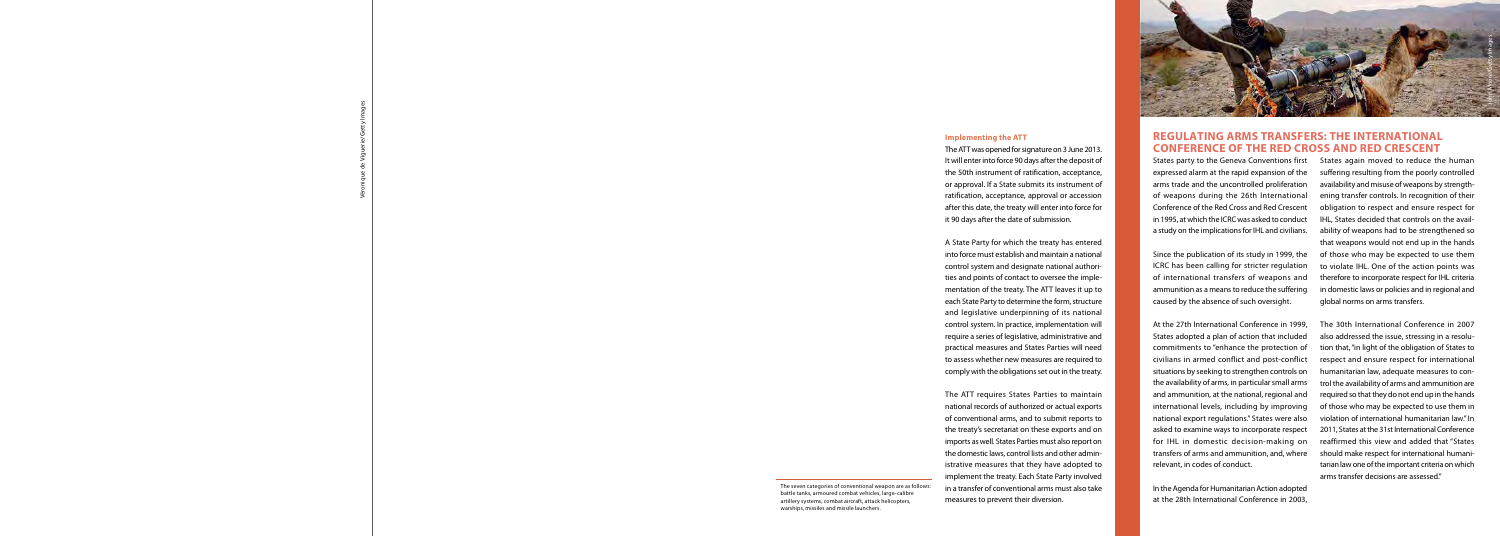

# **Regulating arms transfers: The International Conference of the Red Cross and Red Crescent**

States party to the Geneva Conventions first expressed alarm at the rapid expansion of the arms trade and the uncontrolled proliferation of weapons during the 26th International Conference of the Red Cross and Red Crescent in 1995, at which the ICRC was asked to conduct a study on the implications for IHL and civilians.

Since the publication of its study in 1999, the ICRC has been calling for stricter regulation of international transfers of weapons and ammunition as a means to reduce the suffering caused by the absence of such oversight.

At the 27th International Conference in 1999, States adopted a plan of action that included commitments to "enhance the protection of civilians in armed conflict and post-conflict situations by seeking to strengthen controls on the availability of arms, in particular small arms and ammunition, at the national, regional and international levels, including by improving national export regulations." States were also asked to examine ways to incorporate respect for IHL in domestic decision-making on transfers of arms and ammunition, and, where relevant, in codes of conduct.

In the Agenda for Humanitarian Action adopted at the 28th International Conference in 2003, States again moved to reduce the human suffering resulting from the poorly controlled availability and misuse of weapons by strengthening transfer controls. In recognition of their obligation to respect and ensure respect for IHL, States decided that controls on the availability of weapons had to be strengthened so that weapons would not end up in the hands of those who may be expected to use them to violate IHL. One of the action points was therefore to incorporate respect for IHL criteria in domestic laws or policies and in regional and global norms on arms transfers.

The 30th International Conference in 2007 also addressed the issue, stressing in a resolution that, "in light of the obligation of States to respect and ensure respect for international humanitarian law, adequate measures to control the availability of arms and ammunition are required so that they do not end up in the hands of those who may be expected to use them in violation of international humanitarian law." In 2011, States at the 31st International Conference reaffirmed this view and added that "States should make respect for international humanitarian law one of the important criteria on which arms transfer decisions are assessed."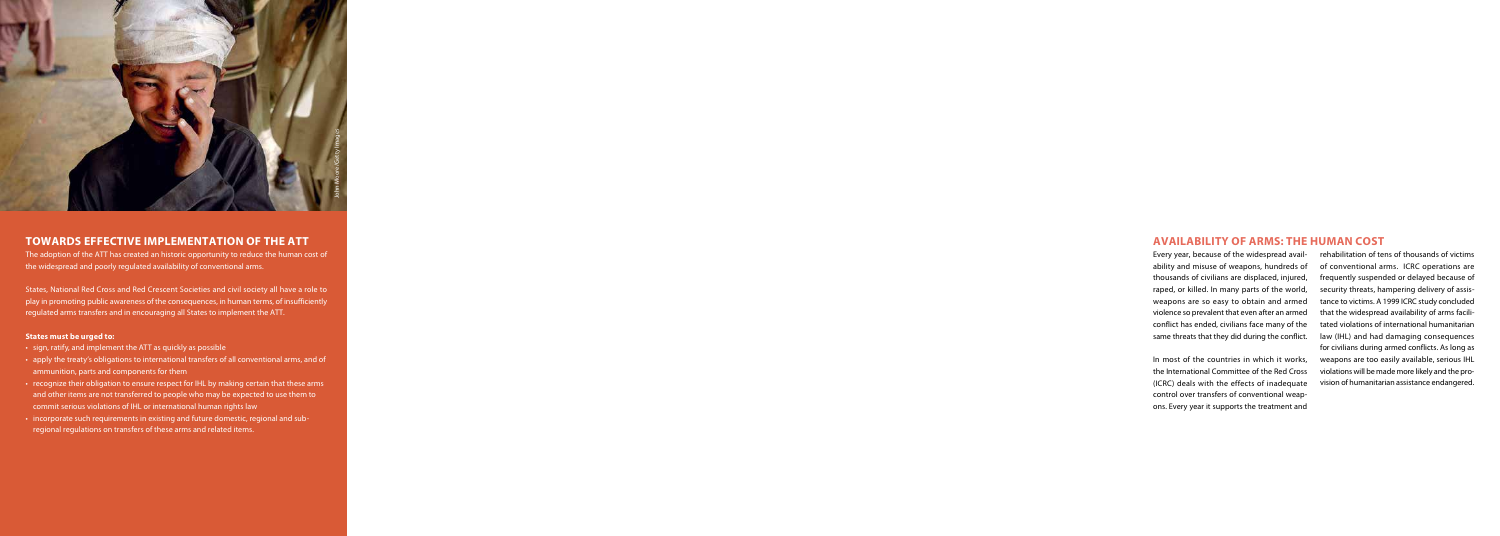

# **Towards effective implementation of the ATT**

The adoption of the ATT has created an historic opportunity to reduce the human cost of the widespread and poorly regulated availability of conventional arms.

States, National Red Cross and Red Crescent Societies and civil society all have a role to play in promoting public awareness of the consequences, in human terms, of insufficiently regulated arms transfers and in encouraging all States to implement the ATT.

## **States must be urged to:**

- sign, ratify, and implement the ATT as quickly as possible
- apply the treaty's obligations to international transfers of all conventional arms, and of ammunition, parts and components for them
- recognize their obligation to ensure respect for IHL by making certain that these arms and other items are not transferred to people who may be expected to use them to commit serious violations of IHL or international human rights law
- incorporate such requirements in existing and future domestic, regional and subregional regulations on transfers of these arms and related items.